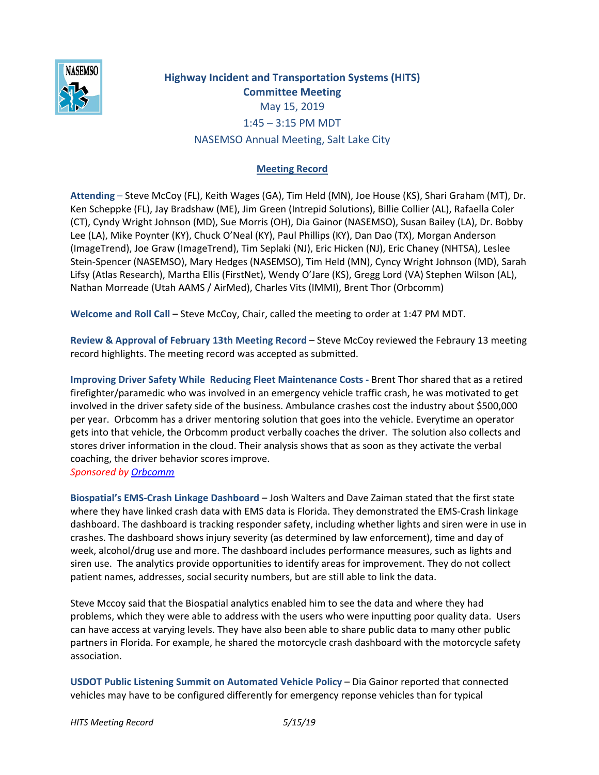

## **Highway Incident and Transportation Systems (HITS) Committee Meeting** May 15, 2019 1:45 – 3:15 PM MDT NASEMSO Annual Meeting, Salt Lake City

## **Meeting Record**

**Attending** – Steve McCoy (FL), Keith Wages (GA), Tim Held (MN), Joe House (KS), Shari Graham (MT), Dr. Ken Scheppke (FL), Jay Bradshaw (ME), Jim Green (Intrepid Solutions), Billie Collier (AL), Rafaella Coler (CT), Cyndy Wright Johnson (MD), Sue Morris (OH), Dia Gainor (NASEMSO), Susan Bailey (LA), Dr. Bobby Lee (LA), Mike Poynter (KY), Chuck O'Neal (KY), Paul Phillips (KY), Dan Dao (TX), Morgan Anderson (ImageTrend), Joe Graw (ImageTrend), Tim Seplaki (NJ), Eric Hicken (NJ), Eric Chaney (NHTSA), Leslee Stein-Spencer (NASEMSO), Mary Hedges (NASEMSO), Tim Held (MN), Cyncy Wright Johnson (MD), Sarah Lifsy (Atlas Research), Martha Ellis (FirstNet), Wendy O'Jare (KS), Gregg Lord (VA) Stephen Wilson (AL), Nathan Morreade (Utah AAMS / AirMed), Charles Vits (IMMI), Brent Thor (Orbcomm)

**Welcome and Roll Call** – Steve McCoy, Chair, called the meeting to order at 1:47 PM MDT.

**Review & Approval of February 13th Meeting Record** – Steve McCoy reviewed the Febraury 13 meeting record highlights. The meeting record was accepted as submitted.

**Improving Driver Safety While Reducing Fleet Maintenance Costs -** Brent Thor shared that as a retired firefighter/paramedic who was involved in an emergency vehicle traffic crash, he was motivated to get involved in the driver safety side of the business. Ambulance crashes cost the industry about \$500,000 per year. Orbcomm has a driver mentoring solution that goes into the vehicle. Everytime an operator gets into that vehicle, the Orbcomm product verbally coaches the driver. The solution also collects and stores driver information in the cloud. Their analysis shows that as soon as they activate the verbal coaching, the driver behavior scores improve. *Sponsored by [Orbcomm](http://www2.orbcomm.com/ems-fleet-safety-thank-you)*

**Biospatial's EMS-Crash Linkage Dashboard** – Josh Walters and Dave Zaiman stated that the first state where they have linked crash data with EMS data is Florida. They demonstrated the EMS-Crash linkage dashboard. The dashboard is tracking responder safety, including whether lights and siren were in use in crashes. The dashboard shows injury severity (as determined by law enforcement), time and day of week, alcohol/drug use and more. The dashboard includes performance measures, such as lights and siren use. The analytics provide opportunities to identify areas for improvement. They do not collect patient names, addresses, social security numbers, but are still able to link the data.

Steve Mccoy said that the Biospatial analytics enabled him to see the data and where they had problems, which they were able to address with the users who were inputting poor quality data. Users can have access at varying levels. They have also been able to share public data to many other public partners in Florida. For example, he shared the motorcycle crash dashboard with the motorcycle safety association.

**USDOT Public Listening Summit on Automated Vehicle Policy** – Dia Gainor reported that connected vehicles may have to be configured differently for emergency reponse vehicles than for typical